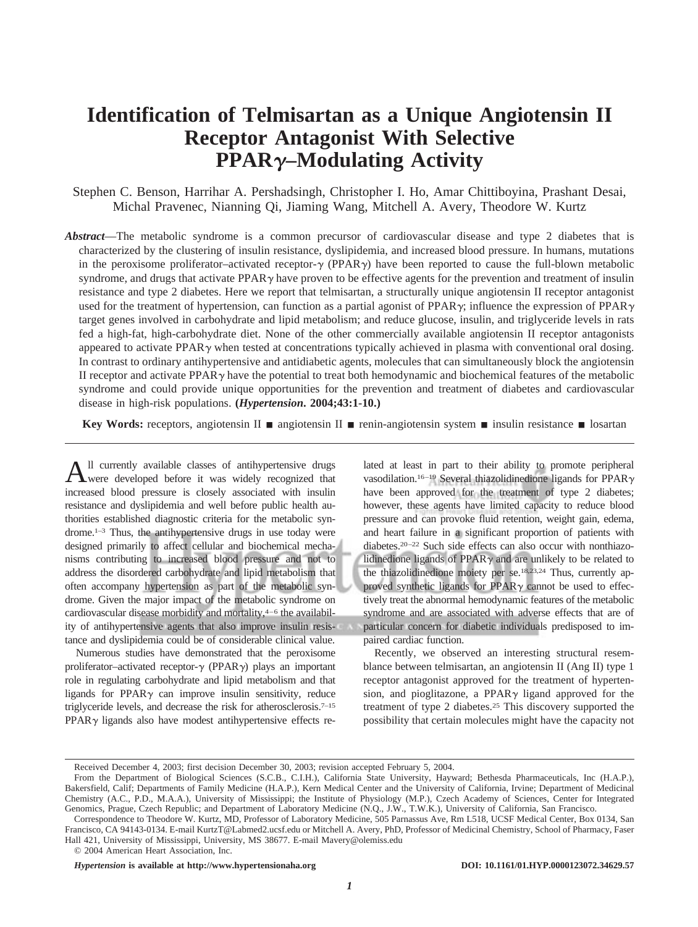# **Identification of Telmisartan as a Unique Angiotensin II Receptor Antagonist With Selective PPAR–Modulating Activity**

Stephen C. Benson, Harrihar A. Pershadsingh, Christopher I. Ho, Amar Chittiboyina, Prashant Desai, Michal Pravenec, Nianning Qi, Jiaming Wang, Mitchell A. Avery, Theodore W. Kurtz

*Abstract*—The metabolic syndrome is a common precursor of cardiovascular disease and type 2 diabetes that is characterized by the clustering of insulin resistance, dyslipidemia, and increased blood pressure. In humans, mutations in the peroxisome proliferator–activated receptor- $\gamma$  (PPAR $\gamma$ ) have been reported to cause the full-blown metabolic syndrome, and drugs that activate PPAR $\gamma$  have proven to be effective agents for the prevention and treatment of insulin resistance and type 2 diabetes. Here we report that telmisartan, a structurally unique angiotensin II receptor antagonist used for the treatment of hypertension, can function as a partial agonist of PPAR $\gamma$ ; influence the expression of PPAR $\gamma$ target genes involved in carbohydrate and lipid metabolism; and reduce glucose, insulin, and triglyceride levels in rats fed a high-fat, high-carbohydrate diet. None of the other commercially available angiotensin II receptor antagonists appeared to activate PPAR $\gamma$  when tested at concentrations typically achieved in plasma with conventional oral dosing. In contrast to ordinary antihypertensive and antidiabetic agents, molecules that can simultaneously block the angiotensin II receptor and activate PPAR $\gamma$  have the potential to treat both hemodynamic and biochemical features of the metabolic syndrome and could provide unique opportunities for the prevention and treatment of diabetes and cardiovascular disease in high-risk populations. **(***Hypertension***. 2004;43:1-10.)**

**Key Words:** receptors, angiotensin II **a** angiotensin II **a** renin-angiotensin system **a** insulin resistance **a** losartan

All currently available classes of antihypertensive drugs were developed before it was widely recognized that increased blood pressure is closely associated with insulin resistance and dyslipidemia and well before public health authorities established diagnostic criteria for the metabolic syndrome.1–3 Thus, the antihypertensive drugs in use today were designed primarily to affect cellular and biochemical mechanisms contributing to increased blood pressure and not to address the disordered carbohydrate and lipid metabolism that often accompany hypertension as part of the metabolic syndrome. Given the major impact of the metabolic syndrome on cardiovascular disease morbidity and mortality, $4-6$  the availability of antihypertensive agents that also improve insulin resistance and dyslipidemia could be of considerable clinical value.

Numerous studies have demonstrated that the peroxisome proliferator–activated receptor- $\gamma$  (PPAR $\gamma$ ) plays an important role in regulating carbohydrate and lipid metabolism and that ligands for  $PPAR\gamma$  can improve insulin sensitivity, reduce triglyceride levels, and decrease the risk for atherosclerosis.7–15  $PPAR<sub>\gamma</sub>$  ligands also have modest antihypertensive effects related at least in part to their ability to promote peripheral vasodilation.<sup>16–19</sup> Several thiazolidinedione ligands for PPAR $\gamma$ have been approved for the treatment of type 2 diabetes; however, these agents have limited capacity to reduce blood pressure and can provoke fluid retention, weight gain, edema, and heart failure in a significant proportion of patients with diabetes.20–22 Such side effects can also occur with nonthiazolidinedione ligands of  $PPAR\gamma$  and are unlikely to be related to the thiazolidinedione moiety per se.18,23,24 Thus, currently approved synthetic ligands for PPAR $\gamma$  cannot be used to effectively treat the abnormal hemodynamic features of the metabolic syndrome and are associated with adverse effects that are of particular concern for diabetic individuals predisposed to impaired cardiac function.

Recently, we observed an interesting structural resemblance between telmisartan, an angiotensin II (Ang II) type 1 receptor antagonist approved for the treatment of hypertension, and pioglitazone, a PPAR $\gamma$  ligand approved for the treatment of type 2 diabetes.25 This discovery supported the possibility that certain molecules might have the capacity not

*Hypertension* **is available at http://www.hypertensionaha.org DOI: 10.1161/01.HYP.0000123072.34629.57**

Received December 4, 2003; first decision December 30, 2003; revision accepted February 5, 2004.

From the Department of Biological Sciences (S.C.B., C.I.H.), California State University, Hayward; Bethesda Pharmaceuticals, Inc (H.A.P.), Bakersfield, Calif; Departments of Family Medicine (H.A.P.), Kern Medical Center and the University of California, Irvine; Department of Medicinal Chemistry (A.C., P.D., M.A.A.), University of Mississippi; the Institute of Physiology (M.P.), Czech Academy of Sciences, Center for Integrated Genomics, Prague, Czech Republic; and Department of Laboratory Medicine (N.Q., J.W., T.W.K.), University of California, San Francisco.

Correspondence to Theodore W. Kurtz, MD, Professor of Laboratory Medicine, 505 Parnassus Ave, Rm L518, UCSF Medical Center, Box 0134, San Francisco, CA 94143-0134. E-mail KurtzT@Labmed2.ucsf.edu or Mitchell A. Avery, PhD, Professor of Medicinal Chemistry, School of Pharmacy, Faser Hall 421, University of Mississippi, University, MS 38677. E-mail Mavery@olemiss.edu

<sup>© 2004</sup> American Heart Association, Inc.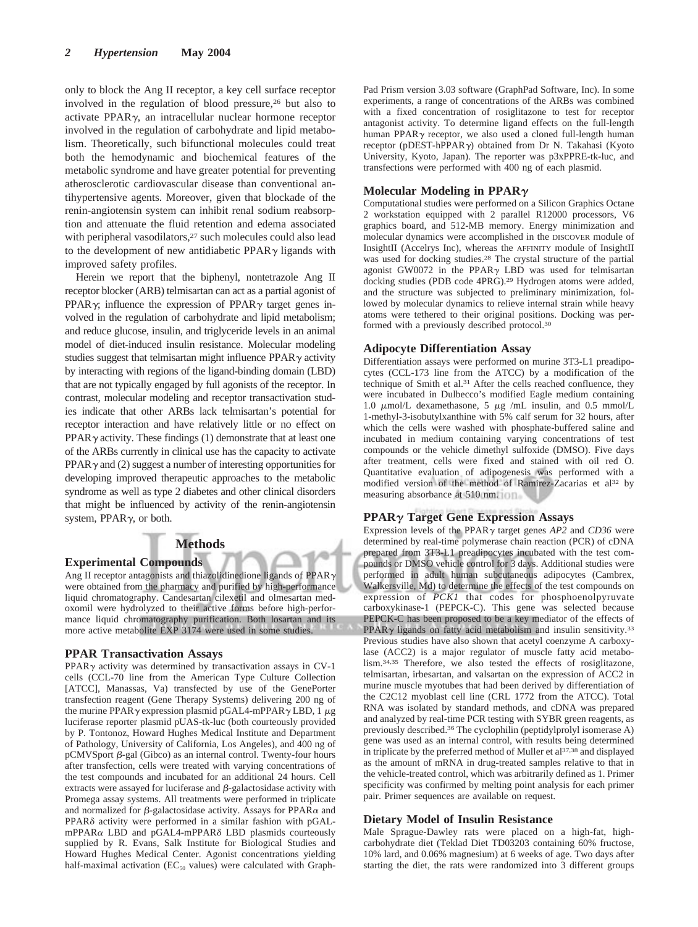only to block the Ang II receptor, a key cell surface receptor involved in the regulation of blood pressure,<sup>26</sup> but also to activate PPAR $\gamma$ , an intracellular nuclear hormone receptor involved in the regulation of carbohydrate and lipid metabolism. Theoretically, such bifunctional molecules could treat both the hemodynamic and biochemical features of the metabolic syndrome and have greater potential for preventing atherosclerotic cardiovascular disease than conventional antihypertensive agents. Moreover, given that blockade of the renin-angiotensin system can inhibit renal sodium reabsorption and attenuate the fluid retention and edema associated with peripheral vasodilators,<sup>27</sup> such molecules could also lead to the development of new antidiabetic PPAR $\gamma$  ligands with improved safety profiles.

Herein we report that the biphenyl, nontetrazole Ang II receptor blocker (ARB) telmisartan can act as a partial agonist of PPAR $\gamma$ ; influence the expression of PPAR $\gamma$  target genes involved in the regulation of carbohydrate and lipid metabolism; and reduce glucose, insulin, and triglyceride levels in an animal model of diet-induced insulin resistance. Molecular modeling studies suggest that telmisartan might influence  $PPAR<sub>\gamma</sub>$  activity by interacting with regions of the ligand-binding domain (LBD) that are not typically engaged by full agonists of the receptor. In contrast, molecular modeling and receptor transactivation studies indicate that other ARBs lack telmisartan's potential for receptor interaction and have relatively little or no effect on  $PPAR\gamma$  activity. These findings (1) demonstrate that at least one of the ARBs currently in clinical use has the capacity to activate  $PPAR\gamma$  and (2) suggest a number of interesting opportunities for developing improved therapeutic approaches to the metabolic syndrome as well as type 2 diabetes and other clinical disorders that might be influenced by activity of the renin-angiotensin system,  $PPAR<sub>\gamma</sub>$ , or both.

## **Methods**

#### **Experimental Compounds**

Ang II receptor antagonists and thiazolidinedione ligands of PPAR $\gamma$ were obtained from the pharmacy and purified by high-performance liquid chromatography. Candesartan cilexetil and olmesartan medoxomil were hydrolyzed to their active forms before high-performance liquid chromatography purification. Both losartan and its more active metabolite EXP 3174 were used in some studies.

### **PPAR Transactivation Assays**

PPAR $\gamma$  activity was determined by transactivation assays in CV-1 cells (CCL-70 line from the American Type Culture Collection [ATCC], Manassas, Va) transfected by use of the GenePorter transfection reagent (Gene Therapy Systems) delivering 200 ng of the murine PPAR $\gamma$  expression plasmid pGAL4-mPPAR $\gamma$  LBD, 1  $\mu$ g luciferase reporter plasmid pUAS-tk-luc (both courteously provided by P. Tontonoz, Howard Hughes Medical Institute and Department of Pathology, University of California, Los Angeles), and 400 ng of  $pCMV$ Sport  $\beta$ -gal (Gibco) as an internal control. Twenty-four hours after transfection, cells were treated with varying concentrations of the test compounds and incubated for an additional 24 hours. Cell extracts were assayed for luciferase and  $\beta$ -galactosidase activity with Promega assay systems. All treatments were performed in triplicate and normalized for  $\beta$ -galactosidase activity. Assays for PPAR $\alpha$  and  $PPAR\delta$  activity were performed in a similar fashion with pGALmPPAR $\alpha$  LBD and pGAL4-mPPAR $\delta$  LBD plasmids courteously supplied by R. Evans, Salk Institute for Biological Studies and Howard Hughes Medical Center. Agonist concentrations yielding half-maximal activation ( $EC_{50}$  values) were calculated with GraphPad Prism version 3.03 software (GraphPad Software, Inc). In some experiments, a range of concentrations of the ARBs was combined with a fixed concentration of rosiglitazone to test for receptor antagonist activity. To determine ligand effects on the full-length human PPAR $\gamma$  receptor, we also used a cloned full-length human receptor (pDEST-hPPAR $\gamma$ ) obtained from Dr N. Takahasi (Kyoto University, Kyoto, Japan). The reporter was p3xPPRE-tk-luc, and transfections were performed with 400 ng of each plasmid.

## **Molecular Modeling in PPAR**

Computational studies were performed on a Silicon Graphics Octane 2 workstation equipped with 2 parallel R12000 processors, V6 graphics board, and 512-MB memory. Energy minimization and molecular dynamics were accomplished in the DISCOVER module of InsightII (Accelrys Inc), whereas the AFFINITY module of InsightII was used for docking studies.28 The crystal structure of the partial agonist GW0072 in the PPAR $\gamma$  LBD was used for telmisartan docking studies (PDB code 4PRG).29 Hydrogen atoms were added, and the structure was subjected to preliminary minimization, followed by molecular dynamics to relieve internal strain while heavy atoms were tethered to their original positions. Docking was performed with a previously described protocol.30

#### **Adipocyte Differentiation Assay**

Differentiation assays were performed on murine 3T3-L1 preadipocytes (CCL-173 line from the ATCC) by a modification of the technique of Smith et al.31 After the cells reached confluence, they were incubated in Dulbecco's modified Eagle medium containing 1.0  $\mu$ mol/L dexamethasone, 5  $\mu$ g /mL insulin, and 0.5 mmol/L 1-methyl-3-isobutylxanthine with 5% calf serum for 32 hours, after which the cells were washed with phosphate-buffered saline and incubated in medium containing varying concentrations of test compounds or the vehicle dimethyl sulfoxide (DMSO). Five days after treatment, cells were fixed and stained with oil red O. Quantitative evaluation of adipogenesis was performed with a modified version of the method of Ramirez-Zacarias et al<sup>32</sup> by measuring absorbance at 510 nm.

#### **PPAR Target Gene Expression Assays**

Expression levels of the PPAR $\gamma$  target genes *AP2* and *CD36* were determined by real-time polymerase chain reaction (PCR) of cDNA prepared from 3T3-L1 preadipocytes incubated with the test compounds or DMSO vehicle control for 3 days. Additional studies were performed in adult human subcutaneous adipocytes (Cambrex, Walkersville, Md) to determine the effects of the test compounds on expression of *PCK1* that codes for phosphoenolpyruvate carboxykinase-1 (PEPCK-C). This gene was selected because PEPCK-C has been proposed to be a key mediator of the effects of PPAR $\gamma$  ligands on fatty acid metabolism and insulin sensitivity.<sup>33</sup> Previous studies have also shown that acetyl coenzyme A carboxylase (ACC2) is a major regulator of muscle fatty acid metabolism.34,35 Therefore, we also tested the effects of rosiglitazone, telmisartan, irbesartan, and valsartan on the expression of ACC2 in murine muscle myotubes that had been derived by differentiation of the C2C12 myoblast cell line (CRL 1772 from the ATCC). Total RNA was isolated by standard methods, and cDNA was prepared and analyzed by real-time PCR testing with SYBR green reagents, as previously described.36 The cyclophilin (peptidylprolyl isomerase A) gene was used as an internal control, with results being determined in triplicate by the preferred method of Muller et al<sup>37,38</sup> and displayed as the amount of mRNA in drug-treated samples relative to that in the vehicle-treated control, which was arbitrarily defined as 1. Primer specificity was confirmed by melting point analysis for each primer pair. Primer sequences are available on request.

## **Dietary Model of Insulin Resistance**

Male Sprague-Dawley rats were placed on a high-fat, highcarbohydrate diet (Teklad Diet TD03203 containing 60% fructose, 10% lard, and 0.06% magnesium) at 6 weeks of age. Two days after starting the diet, the rats were randomized into 3 different groups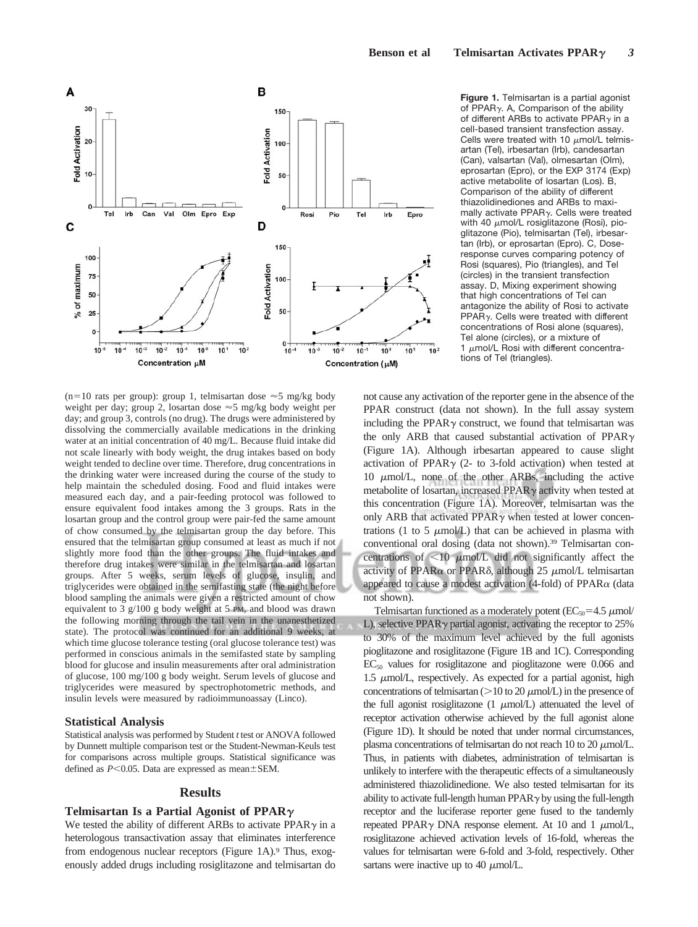

 $(n=10$  rats per group): group 1, telmisartan dose  $\approx$  5 mg/kg body weight per day; group 2, losartan dose  $\approx$  5 mg/kg body weight per day; and group 3, controls (no drug). The drugs were administered by dissolving the commercially available medications in the drinking water at an initial concentration of 40 mg/L. Because fluid intake did not scale linearly with body weight, the drug intakes based on body weight tended to decline over time. Therefore, drug concentrations in the drinking water were increased during the course of the study to help maintain the scheduled dosing. Food and fluid intakes were measured each day, and a pair-feeding protocol was followed to ensure equivalent food intakes among the 3 groups. Rats in the losartan group and the control group were pair-fed the same amount of chow consumed by the telmisartan group the day before. This ensured that the telmisartan group consumed at least as much if not slightly more food than the other groups. The fluid intakes and therefore drug intakes were similar in the telmisartan and losartan groups. After 5 weeks, serum levels of glucose, insulin, and triglycerides were obtained in the semifasting state (the night before blood sampling the animals were given a restricted amount of chow equivalent to 3 g/100 g body weight at 5 PM, and blood was drawn the following morning through the tail vein in the unanesthetized state). The protocol was continued for an additional 9 weeks, at which time glucose tolerance testing (oral glucose tolerance test) was performed in conscious animals in the semifasted state by sampling blood for glucose and insulin measurements after oral administration of glucose, 100 mg/100 g body weight. Serum levels of glucose and triglycerides were measured by spectrophotometric methods, and insulin levels were measured by radioimmunoassay (Linco).

#### **Statistical Analysis**

Statistical analysis was performed by Student *t* test or ANOVA followed by Dunnett multiple comparison test or the Student-Newman-Keuls test for comparisons across multiple groups. Statistical significance was defined as  $P \le 0.05$ . Data are expressed as mean $\pm$ SEM.

#### **Results**

## **Telmisartan Is a Partial Agonist of PPAR**

We tested the ability of different ARBs to activate  $PPAR\gamma$  in a heterologous transactivation assay that eliminates interference from endogenous nuclear receptors (Figure 1A).<sup>9</sup> Thus, exogenously added drugs including rosiglitazone and telmisartan do

**Figure 1.** Telmisartan is a partial agonist of PPAR $\gamma$ . A, Comparison of the ability of different ARBs to activate PPAR $\gamma$  in a cell-based transient transfection assay. Cells were treated with 10  $\mu$ mol/L telmisartan (Tel), irbesartan (Irb), candesartan (Can), valsartan (Val), olmesartan (Olm), eprosartan (Epro), or the EXP 3174 (Exp) active metabolite of losartan (Los). B, Comparison of the ability of different thiazolidinediones and ARBs to maximally activate PPAR $\gamma$ . Cells were treated with 40  $\mu$ mol/L rosiglitazone (Rosi), pioglitazone (Pio), telmisartan (Tel), irbesartan (Irb), or eprosartan (Epro). C, Doseresponse curves comparing potency of Rosi (squares), Pio (triangles), and Tel (circles) in the transient transfection assay. D, Mixing experiment showing that high concentrations of Tel can antagonize the ability of Rosi to activate PPAR $\gamma$ . Cells were treated with different concentrations of Rosi alone (squares), Tel alone (circles), or a mixture of 1  $\mu$ mol/L Rosi with different concentrations of Tel (triangles).

not cause any activation of the reporter gene in the absence of the PPAR construct (data not shown). In the full assay system including the PPAR $\gamma$  construct, we found that telmisartan was the only ARB that caused substantial activation of PPAR $\gamma$ (Figure 1A). Although irbesartan appeared to cause slight activation of PPAR $\gamma$  (2- to 3-fold activation) when tested at 10  $\mu$ mol/L, none of the other ARBs, including the active metabolite of losartan, increased  $PPAR<sub>\gamma</sub>$  activity when tested at this concentration (Figure 1A). Moreover, telmisartan was the only ARB that activated PPAR $\gamma$  when tested at lower concentrations (1 to 5  $\mu$ mol/L) that can be achieved in plasma with conventional oral dosing (data not shown).39 Telmisartan concentrations of  $\leq 10$   $\mu$ mol/L did not significantly affect the activity of PPAR $\alpha$  or PPAR $\delta$ , although 25  $\mu$ mol/L telmisartan appeared to cause a modest activation (4-fold) of  $PPAR\alpha$  (data not shown).

Telmisartan functioned as a moderately potent  $(EC_{50} = 4.5 \mu m o l/m$ L), selective PPAR $\gamma$  partial agonist, activating the receptor to 25% to 30% of the maximum level achieved by the full agonists pioglitazone and rosiglitazone (Figure 1B and 1C). Corresponding  $EC_{50}$  values for rosiglitazone and pioglitazone were 0.066 and  $1.5 \mu$ mol/L, respectively. As expected for a partial agonist, high concentrations of telmisartan  $(>=10$  to 20  $\mu$ mol/L) in the presence of the full agonist rosiglitazone  $(1 \mu \text{mol/L})$  attenuated the level of receptor activation otherwise achieved by the full agonist alone (Figure 1D). It should be noted that under normal circumstances, plasma concentrations of telmisartan do not reach 10 to 20  $\mu$ mol/L. Thus, in patients with diabetes, administration of telmisartan is unlikely to interfere with the therapeutic effects of a simultaneously administered thiazolidinedione. We also tested telmisartan for its ability to activate full-length human  $PPAR \gamma$  by using the full-length receptor and the luciferase reporter gene fused to the tandemly repeated PPAR $\gamma$  DNA response element. At 10 and 1  $\mu$ mol/L, rosiglitazone achieved activation levels of 16-fold, whereas the values for telmisartan were 6-fold and 3-fold, respectively. Other sartans were inactive up to 40  $\mu$ mol/L.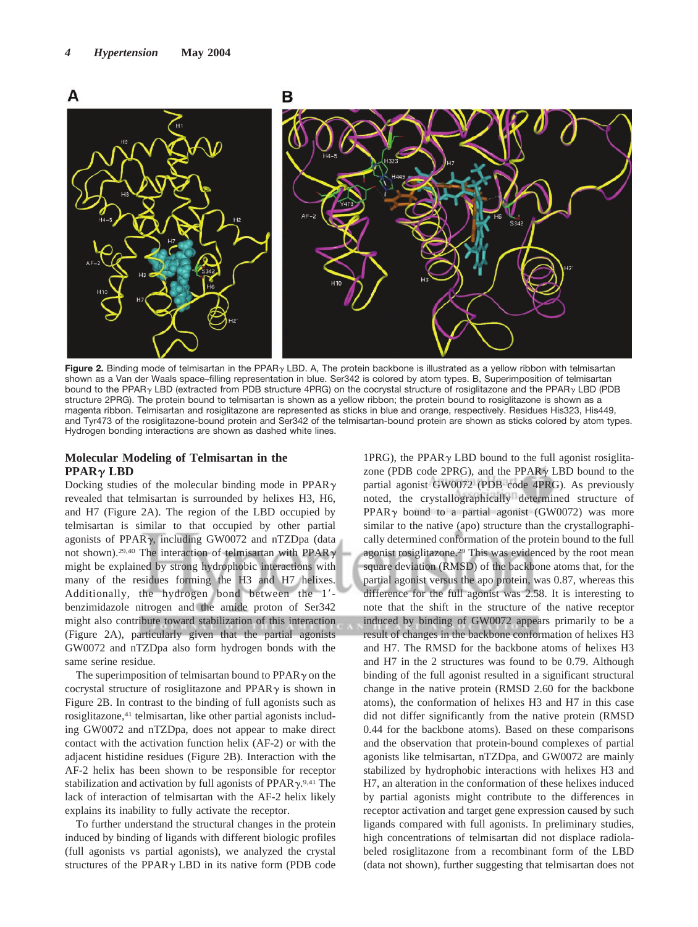

Figure 2. Binding mode of telmisartan in the PPAR<sub>Y</sub> LBD. A, The protein backbone is illustrated as a yellow ribbon with telmisartan shown as a Van der Waals space–filling representation in blue. Ser342 is colored by atom types. B, Superimposition of telmisartan bound to the PPAR<sub>Y</sub> LBD (extracted from PDB structure 4PRG) on the cocrystal structure of rosiglitazone and the PPAR<sub>Y</sub> LBD (PDB structure 2PRG). The protein bound to telmisartan is shown as a yellow ribbon; the protein bound to rosiglitazone is shown as a magenta ribbon. Telmisartan and rosiglitazone are represented as sticks in blue and orange, respectively. Residues His323, His449, and Tyr473 of the rosiglitazone-bound protein and Ser342 of the telmisartan-bound protein are shown as sticks colored by atom types. Hydrogen bonding interactions are shown as dashed white lines.

## **Molecular Modeling of Telmisartan in the PPAR** $\gamma$  **LBD**

Docking studies of the molecular binding mode in PPAR $\gamma$ revealed that telmisartan is surrounded by helixes H3, H6, and H7 (Figure 2A). The region of the LBD occupied by telmisartan is similar to that occupied by other partial agonists of PPAR $\gamma$ , including GW0072 and nTZDpa (data not shown).<sup>29,40</sup> The interaction of telmisartan with PPAR $\gamma$ might be explained by strong hydrophobic interactions with many of the residues forming the H3 and H7 helixes. Additionally, the hydrogen bond between the 1 benzimidazole nitrogen and the amide proton of Ser342 might also contribute toward stabilization of this interaction (Figure 2A), particularly given that the partial agonists GW0072 and nTZDpa also form hydrogen bonds with the same serine residue.

The superimposition of telmisartan bound to  $PPAR \gamma$  on the cocrystal structure of rosiglitazone and PPAR $\gamma$  is shown in Figure 2B. In contrast to the binding of full agonists such as rosiglitazone,<sup>41</sup> telmisartan, like other partial agonists including GW0072 and nTZDpa, does not appear to make direct contact with the activation function helix (AF-2) or with the adjacent histidine residues (Figure 2B). Interaction with the AF-2 helix has been shown to be responsible for receptor stabilization and activation by full agonists of  $PPAR \gamma$ .<sup>9,41</sup> The lack of interaction of telmisartan with the AF-2 helix likely explains its inability to fully activate the receptor.

To further understand the structural changes in the protein induced by binding of ligands with different biologic profiles (full agonists vs partial agonists), we analyzed the crystal structures of the PPAR $\gamma$  LBD in its native form (PDB code

1PRG), the PPAR $\gamma$  LBD bound to the full agonist rosiglitazone (PDB code 2PRG), and the PPAR $\gamma$  LBD bound to the partial agonist GW0072 (PDB code 4PRG). As previously noted, the crystallographically determined structure of PPAR $\gamma$  bound to a partial agonist (GW0072) was more similar to the native (apo) structure than the crystallographically determined conformation of the protein bound to the full agonist rosiglitazone.29 This was evidenced by the root mean square deviation (RMSD) of the backbone atoms that, for the partial agonist versus the apo protein, was 0.87, whereas this difference for the full agonist was 2.58. It is interesting to note that the shift in the structure of the native receptor induced by binding of GW0072 appears primarily to be a result of changes in the backbone conformation of helixes H3 and H7. The RMSD for the backbone atoms of helixes H3 and H7 in the 2 structures was found to be 0.79. Although binding of the full agonist resulted in a significant structural change in the native protein (RMSD 2.60 for the backbone atoms), the conformation of helixes H3 and H7 in this case did not differ significantly from the native protein (RMSD 0.44 for the backbone atoms). Based on these comparisons and the observation that protein-bound complexes of partial agonists like telmisartan, nTZDpa, and GW0072 are mainly stabilized by hydrophobic interactions with helixes H3 and H7, an alteration in the conformation of these helixes induced by partial agonists might contribute to the differences in receptor activation and target gene expression caused by such ligands compared with full agonists. In preliminary studies, high concentrations of telmisartan did not displace radiolabeled rosiglitazone from a recombinant form of the LBD (data not shown), further suggesting that telmisartan does not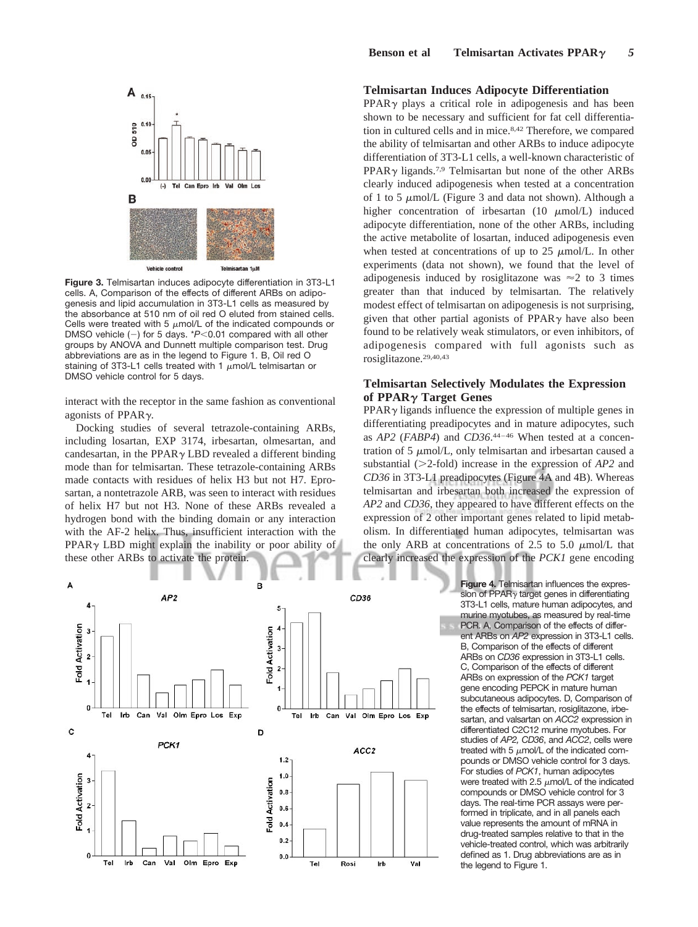

**Figure 3.** Telmisartan induces adipocyte differentiation in 3T3-L1 cells. A, Comparison of the effects of different ARBs on adipogenesis and lipid accumulation in 3T3-L1 cells as measured by the absorbance at 510 nm of oil red O eluted from stained cells. Cells were treated with 5  $\mu$ mol/L of the indicated compounds or DMSO vehicle  $(-)$  for 5 days. \* $P<0.01$  compared with all other groups by ANOVA and Dunnett multiple comparison test. Drug abbreviations are as in the legend to Figure 1. B, Oil red O staining of 3T3-L1 cells treated with 1  $\mu$ mol/L telmisartan or DMSO vehicle control for 5 days.

interact with the receptor in the same fashion as conventional agonists of PPAR $\gamma$ .

Docking studies of several tetrazole-containing ARBs, including losartan, EXP 3174, irbesartan, olmesartan, and candesartan, in the PPAR $\gamma$  LBD revealed a different binding mode than for telmisartan. These tetrazole-containing ARBs made contacts with residues of helix H3 but not H7. Eprosartan, a nontetrazole ARB, was seen to interact with residues of helix H7 but not H3. None of these ARBs revealed a hydrogen bond with the binding domain or any interaction with the AF-2 helix. Thus, insufficient interaction with the  $PPAR<sub>\gamma</sub> LBD$  might explain the inability or poor ability of these other ARBs to activate the protein.

## **Telmisartan Induces Adipocyte Differentiation**

 $PPAR<sub>\gamma</sub>$  plays a critical role in adipogenesis and has been shown to be necessary and sufficient for fat cell differentiation in cultured cells and in mice.8,42 Therefore, we compared the ability of telmisartan and other ARBs to induce adipocyte differentiation of 3T3-L1 cells, a well-known characteristic of  $PPAR\gamma$  ligands.<sup>7,9</sup> Telmisartan but none of the other ARBs clearly induced adipogenesis when tested at a concentration of 1 to 5  $\mu$ mol/L (Figure 3 and data not shown). Although a higher concentration of irbesartan  $(10 \mu \text{mol/L})$  induced adipocyte differentiation, none of the other ARBs, including the active metabolite of losartan, induced adipogenesis even when tested at concentrations of up to  $25 \mu \text{mol/L}$ . In other experiments (data not shown), we found that the level of adipogenesis induced by rosiglitazone was  $\approx$  2 to 3 times greater than that induced by telmisartan. The relatively modest effect of telmisartan on adipogenesis is not surprising, given that other partial agonists of  $PPAR<sub>\gamma</sub>$  have also been found to be relatively weak stimulators, or even inhibitors, of adipogenesis compared with full agonists such as rosiglitazone.29,40,43

## **Telmisartan Selectively Modulates the Expression of PPAR Target Genes**

 $PPAR\gamma$  ligands influence the expression of multiple genes in differentiating preadipocytes and in mature adipocytes, such as *AP2* (*FABP4*) and *CD36*.<sup>44-46</sup> When tested at a concentration of 5  $\mu$ mol/L, only telmisartan and irbesartan caused a substantial  $(>2$ -fold) increase in the expression of  $AP2$  and *CD36* in 3T3-L1 preadipocytes (Figure 4A and 4B). Whereas telmisartan and irbesartan both increased the expression of *AP2* and *CD36*, they appeared to have different effects on the expression of 2 other important genes related to lipid metabolism. In differentiated human adipocytes, telmisartan was the only ARB at concentrations of 2.5 to 5.0  $\mu$ mol/L that clearly increased the expression of the *PCK1* gene encoding



**Figure 4.** Telmisartan influences the expression of PPAR $\gamma$  target genes in differentiating 3T3-L1 cells, mature human adipocytes, and murine myotubes, as measured by real-time PCR. A, Comparison of the effects of different ARBs on *AP2* expression in 3T3-L1 cells. B, Comparison of the effects of different ARBs on *CD36* expression in 3T3-L1 cells. C, Comparison of the effects of different ARBs on expression of the *PCK1* target gene encoding PEPCK in mature human subcutaneous adipocytes. D, Comparison of the effects of telmisartan, rosiglitazone, irbesartan, and valsartan on *ACC2* expression in differentiated C2C12 murine myotubes. For studies of *AP2, CD36*, and *ACC2*, cells were treated with 5  $\mu$ mol/L of the indicated compounds or DMSO vehicle control for 3 days. For studies of *PCK1*, human adipocytes were treated with 2.5  $\mu$ mol/L of the indicated compounds or DMSO vehicle control for 3 days. The real-time PCR assays were performed in triplicate, and in all panels each value represents the amount of mRNA in drug-treated samples relative to that in the vehicle-treated control, which was arbitrarily defined as 1. Drug abbreviations are as in the legend to Figure 1.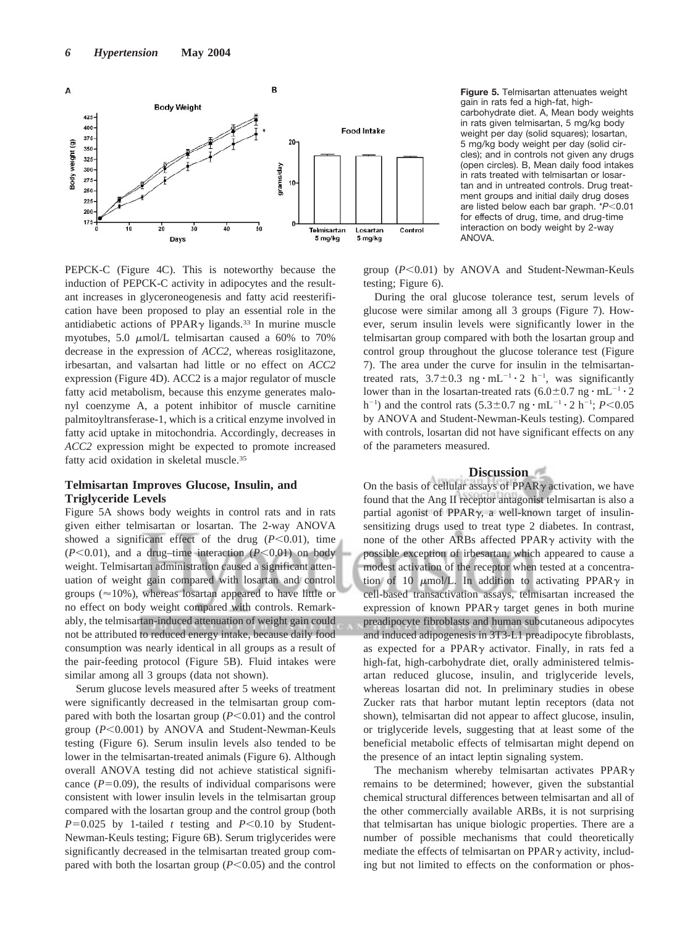

**Figure 5.** Telmisartan attenuates weight gain in rats fed a high-fat, highcarbohydrate diet. A, Mean body weights in rats given telmisartan, 5 mg/kg body weight per day (solid squares); losartan, 5 mg/kg body weight per day (solid circles); and in controls not given any drugs (open circles). B, Mean daily food intakes in rats treated with telmisartan or losartan and in untreated controls. Drug treatment groups and initial daily drug doses are listed below each bar graph. \**P*<0.01 for effects of drug, time, and drug-time interaction on body weight by 2-way ANOVA.

PEPCK-C (Figure 4C). This is noteworthy because the induction of PEPCK-C activity in adipocytes and the resultant increases in glyceroneogenesis and fatty acid reesterification have been proposed to play an essential role in the antidiabetic actions of PPAR $\gamma$  ligands.<sup>33</sup> In murine muscle myotubes, 5.0  $\mu$ mol/L telmisartan caused a 60% to 70% decrease in the expression of *ACC2*, whereas rosiglitazone, irbesartan, and valsartan had little or no effect on *ACC2* expression (Figure 4D). ACC2 is a major regulator of muscle fatty acid metabolism, because this enzyme generates malonyl coenzyme A, a potent inhibitor of muscle carnitine palmitoyltransferase-1, which is a critical enzyme involved in fatty acid uptake in mitochondria. Accordingly, decreases in *ACC2* expression might be expected to promote increased fatty acid oxidation in skeletal muscle.35

## **Telmisartan Improves Glucose, Insulin, and Triglyceride Levels**

Figure 5A shows body weights in control rats and in rats given either telmisartan or losartan. The 2-way ANOVA showed a significant effect of the drug  $(P<0.01)$ , time  $(P<0.01)$ , and a drug–time interaction  $(P<0.01)$  on body weight. Telmisartan administration caused a significant attenuation of weight gain compared with losartan and control groups ( $\approx$ 10%), whereas losartan appeared to have little or no effect on body weight compared with controls. Remarkably, the telmisartan-induced attenuation of weight gain could not be attributed to reduced energy intake, because daily food consumption was nearly identical in all groups as a result of the pair-feeding protocol (Figure 5B). Fluid intakes were similar among all 3 groups (data not shown).

Serum glucose levels measured after 5 weeks of treatment were significantly decreased in the telmisartan group compared with both the losartan group  $(P<0.01)$  and the control group (P<0.001) by ANOVA and Student-Newman-Keuls testing (Figure 6). Serum insulin levels also tended to be lower in the telmisartan-treated animals (Figure 6). Although overall ANOVA testing did not achieve statistical significance  $(P=0.09)$ , the results of individual comparisons were consistent with lower insulin levels in the telmisartan group compared with the losartan group and the control group (both  $P=0.025$  by 1-tailed *t* testing and  $P<0.10$  by Student-Newman-Keuls testing; Figure 6B). Serum triglycerides were significantly decreased in the telmisartan treated group compared with both the losartan group  $(P<0.05)$  and the control group  $(P<0.01)$  by ANOVA and Student-Newman-Keuls testing; Figure 6).

During the oral glucose tolerance test, serum levels of glucose were similar among all 3 groups (Figure 7). However, serum insulin levels were significantly lower in the telmisartan group compared with both the losartan group and control group throughout the glucose tolerance test (Figure 7). The area under the curve for insulin in the telmisartantreated rats,  $3.7 \pm 0.3$  ng  $\cdot$  mL<sup>-1</sup>  $\cdot$  2 h<sup>-1</sup>, was significantly lower than in the losartan-treated rats  $(6.0 \pm 0.7 \text{ ng} \cdot \text{mL}^{-1} \cdot 2)$  $h^{-1}$ ) and the control rats  $(5.3 \pm 0.7 \text{ ng} \cdot \text{mL}^{-1} \cdot 2 \text{ h}^{-1}; P<0.05$ by ANOVA and Student-Newman-Keuls testing). Compared with controls, losartan did not have significant effects on any of the parameters measured.

#### **Discussion**

On the basis of cellular assays of  $PPAR<sub>\gamma</sub>$  activation, we have found that the Ang II receptor antagonist telmisartan is also a partial agonist of  $PPAR\gamma$ , a well-known target of insulinsensitizing drugs used to treat type 2 diabetes. In contrast, none of the other ARBs affected PPAR $\gamma$  activity with the possible exception of irbesartan, which appeared to cause a modest activation of the receptor when tested at a concentration of 10  $\mu$ mol/L. In addition to activating PPAR $\gamma$  in cell-based transactivation assays, telmisartan increased the expression of known PPAR $\gamma$  target genes in both murine preadipocyte fibroblasts and human subcutaneous adipocytes and induced adipogenesis in 3T3-L1 preadipocyte fibroblasts, as expected for a PPAR $\gamma$  activator. Finally, in rats fed a high-fat, high-carbohydrate diet, orally administered telmisartan reduced glucose, insulin, and triglyceride levels, whereas losartan did not. In preliminary studies in obese Zucker rats that harbor mutant leptin receptors (data not shown), telmisartan did not appear to affect glucose, insulin, or triglyceride levels, suggesting that at least some of the beneficial metabolic effects of telmisartan might depend on the presence of an intact leptin signaling system.

The mechanism whereby telmisartan activates PPAR $\gamma$ remains to be determined; however, given the substantial chemical structural differences between telmisartan and all of the other commercially available ARBs, it is not surprising that telmisartan has unique biologic properties. There are a number of possible mechanisms that could theoretically mediate the effects of telmisartan on  $PPAR\gamma$  activity, including but not limited to effects on the conformation or phos-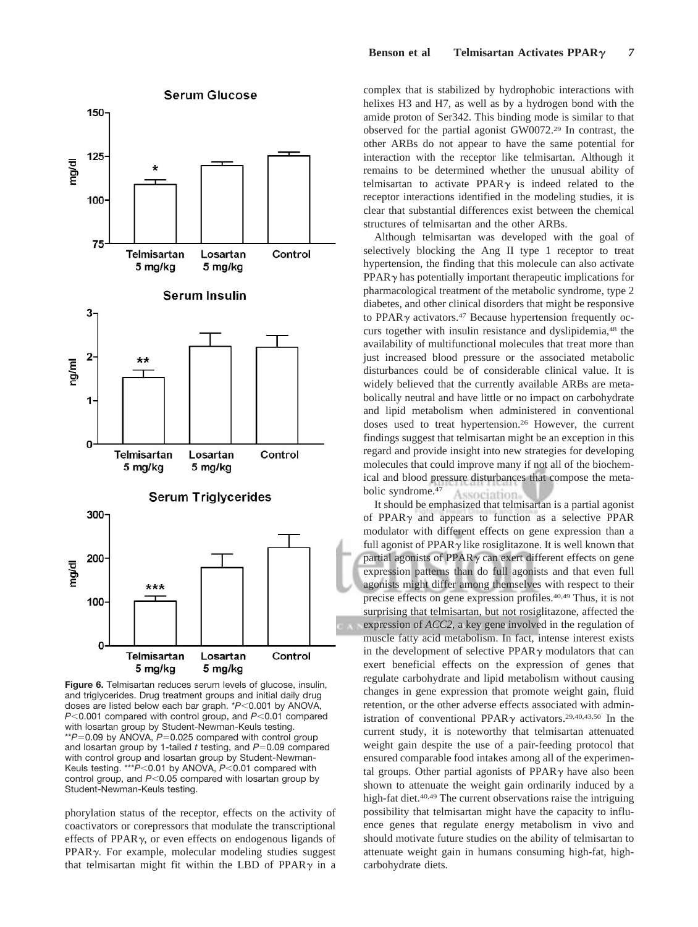

**Figure 6.** Telmisartan reduces serum levels of glucose, insulin, and triglycerides. Drug treatment groups and initial daily drug doses are listed below each bar graph. \* $P$ <0.001 by ANOVA, *P*<0.001 compared with control group, and *P*<0.01 compared with losartan group by Student-Newman-Keuls testing. \*\* $P$ =0.09 by ANOVA,  $P$ =0.025 compared with control group and losartan group by 1-tailed  $t$  testing, and  $P=0.09$  compared with control group and losartan group by Student-Newman-Keuls testing. \*\*\**P*<0.01 by ANOVA, *P*<0.01 compared with control group, and P<0.05 compared with losartan group by Student-Newman-Keuls testing.

phorylation status of the receptor, effects on the activity of coactivators or corepressors that modulate the transcriptional effects of PPAR $\gamma$ , or even effects on endogenous ligands of  $PPAR<sub>\gamma</sub>$ . For example, molecular modeling studies suggest that telmisartan might fit within the LBD of PPAR $\gamma$  in a

complex that is stabilized by hydrophobic interactions with helixes H3 and H7, as well as by a hydrogen bond with the amide proton of Ser342. This binding mode is similar to that observed for the partial agonist GW0072.29 In contrast, the other ARBs do not appear to have the same potential for interaction with the receptor like telmisartan. Although it remains to be determined whether the unusual ability of telmisartan to activate  $PPAR\gamma$  is indeed related to the receptor interactions identified in the modeling studies, it is clear that substantial differences exist between the chemical structures of telmisartan and the other ARBs.

Although telmisartan was developed with the goal of selectively blocking the Ang II type 1 receptor to treat hypertension, the finding that this molecule can also activate  $PPAR<sub>\gamma</sub>$  has potentially important therapeutic implications for pharmacological treatment of the metabolic syndrome, type 2 diabetes, and other clinical disorders that might be responsive to PPAR $\gamma$  activators.<sup>47</sup> Because hypertension frequently occurs together with insulin resistance and dyslipidemia,48 the availability of multifunctional molecules that treat more than just increased blood pressure or the associated metabolic disturbances could be of considerable clinical value. It is widely believed that the currently available ARBs are metabolically neutral and have little or no impact on carbohydrate and lipid metabolism when administered in conventional doses used to treat hypertension.26 However, the current findings suggest that telmisartan might be an exception in this regard and provide insight into new strategies for developing molecules that could improve many if not all of the biochemical and blood pressure disturbances that compose the metabolic syndrome.47 Association

It should be emphasized that telmisartan is a partial agonist of PPAR $\gamma$  and appears to function as a selective PPAR modulator with different effects on gene expression than a full agonist of PPAR $\gamma$  like rosiglitazone. It is well known that partial agonists of  $PPAR\gamma$  can exert different effects on gene expression patterns than do full agonists and that even full agonists might differ among themselves with respect to their precise effects on gene expression profiles.40,49 Thus, it is not surprising that telmisartan, but not rosiglitazone, affected the expression of *ACC2*, a key gene involved in the regulation of muscle fatty acid metabolism. In fact, intense interest exists in the development of selective  $PPAR\gamma$  modulators that can exert beneficial effects on the expression of genes that regulate carbohydrate and lipid metabolism without causing changes in gene expression that promote weight gain, fluid retention, or the other adverse effects associated with administration of conventional PPAR $\gamma$  activators.<sup>29,40,43,50</sup> In the current study, it is noteworthy that telmisartan attenuated weight gain despite the use of a pair-feeding protocol that ensured comparable food intakes among all of the experimental groups. Other partial agonists of  $PPAR<sub>\gamma</sub>$  have also been shown to attenuate the weight gain ordinarily induced by a high-fat diet.<sup>40,49</sup> The current observations raise the intriguing possibility that telmisartan might have the capacity to influence genes that regulate energy metabolism in vivo and should motivate future studies on the ability of telmisartan to attenuate weight gain in humans consuming high-fat, highcarbohydrate diets.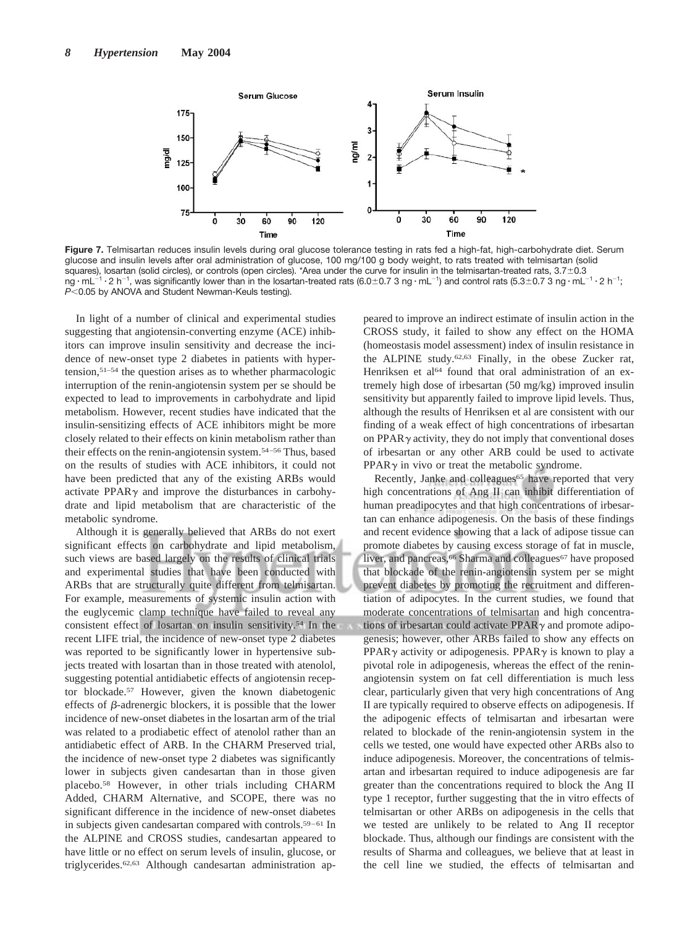

**Figure 7.** Telmisartan reduces insulin levels during oral glucose tolerance testing in rats fed a high-fat, high-carbohydrate diet. Serum glucose and insulin levels after oral administration of glucose, 100 mg/100 g body weight, to rats treated with telmisartan (solid squares), losartan (solid circles), or controls (open circles). \*Area under the curve for insulin in the telmisartan-treated rats, 3.7 $\pm$ 0.3 ng  $\cdot$  mL<sup>-1</sup>  $\cdot$  2 h<sup>-1</sup>, was significantly lower than in the losartan-treated rats (6.0±0.7 3 ng  $\cdot$  mL<sup>-1</sup>) and control rats (5.3±0.7 3 ng  $\cdot$  mL<sup>-1</sup>  $\cdot$  2 h<sup>-1</sup>; *P*<0.05 by ANOVA and Student Newman-Keuls testing).

In light of a number of clinical and experimental studies suggesting that angiotensin-converting enzyme (ACE) inhibitors can improve insulin sensitivity and decrease the incidence of new-onset type 2 diabetes in patients with hypertension,51–54 the question arises as to whether pharmacologic interruption of the renin-angiotensin system per se should be expected to lead to improvements in carbohydrate and lipid metabolism. However, recent studies have indicated that the insulin-sensitizing effects of ACE inhibitors might be more closely related to their effects on kinin metabolism rather than their effects on the renin-angiotensin system.54–56 Thus, based on the results of studies with ACE inhibitors, it could not have been predicted that any of the existing ARBs would activate PPAR $\gamma$  and improve the disturbances in carbohydrate and lipid metabolism that are characteristic of the metabolic syndrome.

Although it is generally believed that ARBs do not exert significant effects on carbohydrate and lipid metabolism, such views are based largely on the results of clinical trials and experimental studies that have been conducted with ARBs that are structurally quite different from telmisartan. For example, measurements of systemic insulin action with the euglycemic clamp technique have failed to reveal any consistent effect of losartan on insulin sensitivity.54 In the recent LIFE trial, the incidence of new-onset type 2 diabetes was reported to be significantly lower in hypertensive subjects treated with losartan than in those treated with atenolol, suggesting potential antidiabetic effects of angiotensin receptor blockade.57 However, given the known diabetogenic effects of  $\beta$ -adrenergic blockers, it is possible that the lower incidence of new-onset diabetes in the losartan arm of the trial was related to a prodiabetic effect of atenolol rather than an antidiabetic effect of ARB. In the CHARM Preserved trial, the incidence of new-onset type 2 diabetes was significantly lower in subjects given candesartan than in those given placebo.58 However, in other trials including CHARM Added, CHARM Alternative, and SCOPE, there was no significant difference in the incidence of new-onset diabetes in subjects given candesartan compared with controls.<sup>59–61</sup> In the ALPINE and CROSS studies, candesartan appeared to have little or no effect on serum levels of insulin, glucose, or triglycerides.62,63 Although candesartan administration ap-

peared to improve an indirect estimate of insulin action in the CROSS study, it failed to show any effect on the HOMA (homeostasis model assessment) index of insulin resistance in the ALPINE study.62,63 Finally, in the obese Zucker rat, Henriksen et al<sup>64</sup> found that oral administration of an extremely high dose of irbesartan (50 mg/kg) improved insulin sensitivity but apparently failed to improve lipid levels. Thus, although the results of Henriksen et al are consistent with our finding of a weak effect of high concentrations of irbesartan on PPAR $\gamma$  activity, they do not imply that conventional doses of irbesartan or any other ARB could be used to activate PPAR $\gamma$  in vivo or treat the metabolic syndrome.

Recently, Janke and colleagues<sup>65</sup> have reported that very high concentrations of Ang II can inhibit differentiation of human preadipocytes and that high concentrations of irbesartan can enhance adipogenesis. On the basis of these findings and recent evidence showing that a lack of adipose tissue can promote diabetes by causing excess storage of fat in muscle, liver, and pancreas, <sup>66</sup> Sharma and colleagues<sup>67</sup> have proposed that blockade of the renin-angiotensin system per se might prevent diabetes by promoting the recruitment and differentiation of adipocytes. In the current studies, we found that moderate concentrations of telmisartan and high concentrations of irbesartan could activate  $PPAR \gamma$  and promote adipogenesis; however, other ARBs failed to show any effects on PPAR $\gamma$  activity or adipogenesis. PPAR $\gamma$  is known to play a pivotal role in adipogenesis, whereas the effect of the reninangiotensin system on fat cell differentiation is much less clear, particularly given that very high concentrations of Ang II are typically required to observe effects on adipogenesis. If the adipogenic effects of telmisartan and irbesartan were related to blockade of the renin-angiotensin system in the cells we tested, one would have expected other ARBs also to induce adipogenesis. Moreover, the concentrations of telmisartan and irbesartan required to induce adipogenesis are far greater than the concentrations required to block the Ang II type 1 receptor, further suggesting that the in vitro effects of telmisartan or other ARBs on adipogenesis in the cells that we tested are unlikely to be related to Ang II receptor blockade. Thus, although our findings are consistent with the results of Sharma and colleagues, we believe that at least in the cell line we studied, the effects of telmisartan and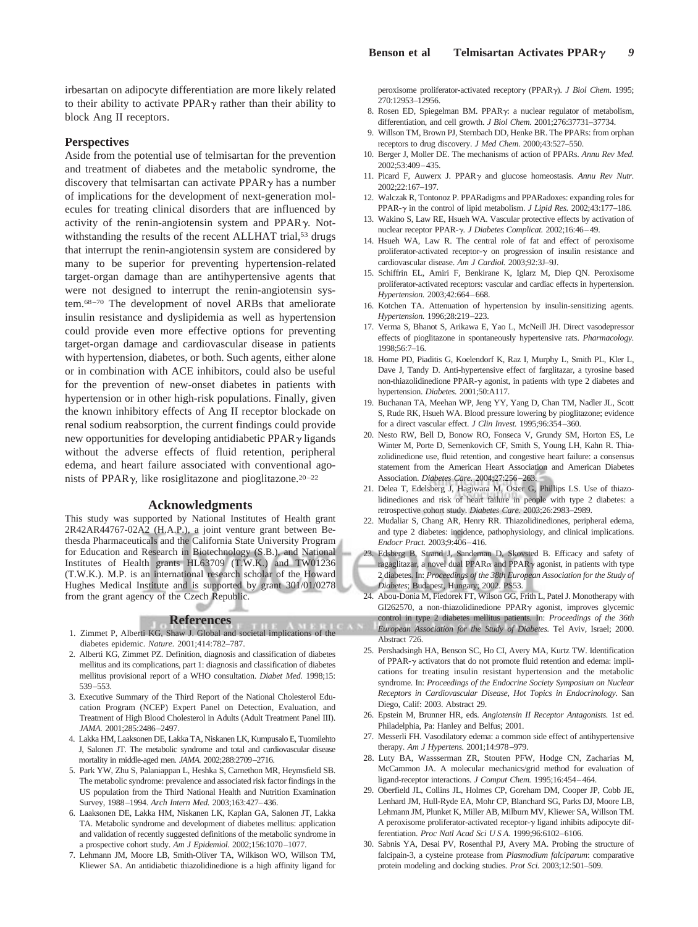irbesartan on adipocyte differentiation are more likely related to their ability to activate  $PPAR\gamma$  rather than their ability to block Ang II receptors.

### **Perspectives**

Aside from the potential use of telmisartan for the prevention and treatment of diabetes and the metabolic syndrome, the discovery that telmisartan can activate  $PPAR\gamma$  has a number of implications for the development of next-generation molecules for treating clinical disorders that are influenced by activity of the renin-angiotensin system and PPAR $\gamma$ . Notwithstanding the results of the recent ALLHAT trial,<sup>53</sup> drugs that interrupt the renin-angiotensin system are considered by many to be superior for preventing hypertension-related target-organ damage than are antihypertensive agents that were not designed to interrupt the renin-angiotensin system.68–70 The development of novel ARBs that ameliorate insulin resistance and dyslipidemia as well as hypertension could provide even more effective options for preventing target-organ damage and cardiovascular disease in patients with hypertension, diabetes, or both. Such agents, either alone or in combination with ACE inhibitors, could also be useful for the prevention of new-onset diabetes in patients with hypertension or in other high-risk populations. Finally, given the known inhibitory effects of Ang II receptor blockade on renal sodium reabsorption, the current findings could provide new opportunities for developing antidiabetic  $PPAR \gamma$  ligands without the adverse effects of fluid retention, peripheral edema, and heart failure associated with conventional agonists of PPAR $\gamma$ , like rosiglitazone and pioglitazone.<sup>20–22</sup>

#### **Acknowledgments**

This study was supported by National Institutes of Health grant 2R42AR44767-02A2 (H.A.P.), a joint venture grant between Bethesda Pharmaceuticals and the California State University Program for Education and Research in Biotechnology (S.B.), and National Institutes of Health grants HL63709 (T.W.K.) and TW01236 (T.W.K.). M.P. is an international research scholar of the Howard Hughes Medical Institute and is supported by grant 301/01/0278 from the grant agency of the Czech Republic.

#### **References**

- 1. Zimmet P, Alberti KG, Shaw J. Global and societal implications of the diabetes epidemic. *Nature.* 2001;414:782–787.
- 2. Alberti KG, Zimmet PZ. Definition, diagnosis and classification of diabetes mellitus and its complications, part 1: diagnosis and classification of diabetes mellitus provisional report of a WHO consultation. *Diabet Med.* 1998;15: 539–553.
- 3. Executive Summary of the Third Report of the National Cholesterol Education Program (NCEP) Expert Panel on Detection, Evaluation, and Treatment of High Blood Cholesterol in Adults (Adult Treatment Panel III). *JAMA.* 2001;285:2486–2497.
- 4. Lakka HM, Laaksonen DE, Lakka TA, Niskanen LK, Kumpusalo E, Tuomilehto J, Salonen JT. The metabolic syndrome and total and cardiovascular disease mortality in middle-aged men. *JAMA.* 2002;288:2709–2716.
- 5. Park YW, Zhu S, Palaniappan L, Heshka S, Carnethon MR, Heymsfield SB. The metabolic syndrome: prevalence and associated risk factor findings in the US population from the Third National Health and Nutrition Examination Survey, 1988–1994. *Arch Intern Med.* 2003;163:427–436.
- 6. Laaksonen DE, Lakka HM, Niskanen LK, Kaplan GA, Salonen JT, Lakka TA. Metabolic syndrome and development of diabetes mellitus: application and validation of recently suggested definitions of the metabolic syndrome in a prospective cohort study. *Am J Epidemiol.* 2002;156:1070–1077.
- 7. Lehmann JM, Moore LB, Smith-Oliver TA, Wilkison WO, Willson TM, Kliewer SA. An antidiabetic thiazolidinedione is a high affinity ligand for

peroxisome proliferator-activated receptory (PPARy). *J Biol Chem.* 1995; 270:12953–12956.

- 8. Rosen ED, Spiegelman BM. PPARy: a nuclear regulator of metabolism, differentiation, and cell growth. *J Biol Chem.* 2001;276:37731–37734.
- 9. Willson TM, Brown PJ, Sternbach DD, Henke BR. The PPARs: from orphan receptors to drug discovery. *J Med Chem.* 2000;43:527–550.
- 10. Berger J, Moller DE. The mechanisms of action of PPARs. *Annu Rev Med.* 2002;53:409–435.
- 11. Picard F, Auwerx J. PPAR<sub>Y</sub> and glucose homeostasis. Annu Rev Nutr. 2002;22:167–197.
- 12. Walczak R, Tontonoz P. PPARadigms and PPARadoxes: expanding roles for PPAR- $\gamma$  in the control of lipid metabolism. *J Lipid Res.* 2002;43:177-186.
- 13. Wakino S, Law RE, Hsueh WA. Vascular protective effects by activation of nuclear receptor PPAR-γ. *J Diabetes Complicat*. 2002;16:46-49.
- 14. Hsueh WA, Law R. The central role of fat and effect of peroxisome proliferator-activated receptor- $\gamma$  on progression of insulin resistance and cardiovascular disease. *Am J Cardiol.* 2003;92:3J–9J.
- 15. Schiffrin EL, Amiri F, Benkirane K, Iglarz M, Diep QN. Peroxisome proliferator-activated receptors: vascular and cardiac effects in hypertension. *Hypertension.* 2003;42:664–668.
- 16. Kotchen TA. Attenuation of hypertension by insulin-sensitizing agents. *Hypertension.* 1996;28:219–223.
- 17. Verma S, Bhanot S, Arikawa E, Yao L, McNeill JH. Direct vasodepressor effects of pioglitazone in spontaneously hypertensive rats. *Pharmacology.* 1998;56:7–16.
- 18. Home PD, Piaditis G, Koelendorf K, Raz I, Murphy L, Smith PL, Kler L, Dave J, Tandy D. Anti-hypertensive effect of farglitazar, a tyrosine based non-thiazolidinedione PPAR- $\gamma$  agonist, in patients with type 2 diabetes and hypertension. *Diabetes.* 2001;50:A117.
- 19. Buchanan TA, Meehan WP, Jeng YY, Yang D, Chan TM, Nadler JL, Scott S, Rude RK, Hsueh WA. Blood pressure lowering by pioglitazone; evidence for a direct vascular effect. *J Clin Invest.* 1995;96:354–360.
- 20. Nesto RW, Bell D, Bonow RO, Fonseca V, Grundy SM, Horton ES, Le Winter M, Porte D, Semenkovich CF, Smith S, Young LH, Kahn R. Thiazolidinedione use, fluid retention, and congestive heart failure: a consensus statement from the American Heart Association and American Diabetes Association. *Diabetes Care.* 2004;27:256–263.
- 21. Delea T, Edelsberg J, Hagiwara M, Oster G, Phillips LS. Use of thiazolidinediones and risk of heart failure in people with type 2 diabetes: a retrospective cohort study. *Diabetes Care.* 2003;26:2983–2989.
- 22. Mudaliar S, Chang AR, Henry RR. Thiazolidinediones, peripheral edema, and type 2 diabetes: incidence, pathophysiology, and clinical implications. *Endocr Pract.* 2003;9:406–416.
- 23. Edsberg B, Strand J, Sandeman D, Skovsted B. Efficacy and safety of ragaglitazar, a novel dual PPAR $\alpha$  and PPAR $\gamma$  agonist, in patients with type 2 diabetes. In: *Proceedings of the 38th European Association for the Study of Diabetes*; Budapest, Hungary; 2002. PS53.
- 24. Abou-Donia M, Fiedorek FT, Wilson GG, Frith L, Patel J. Monotherapy with GI262570, a non-thiazolidinedione PPAR $\gamma$  agonist, improves glycemic control in type 2 diabetes mellitus patients. In: *Proceedings of the 36th European Association for the Study of Diabetes.* Tel Aviv, Israel; 2000. Abstract 726.
- 25. Pershadsingh HA, Benson SC, Ho CI, Avery MA, Kurtz TW. Identification of PPAR- $\gamma$  activators that do not promote fluid retention and edema: implications for treating insulin resistant hypertension and the metabolic syndrome. In: *Proceedings of the Endocrine Society Symposium on Nuclear Receptors in Cardiovascular Disease, Hot Topics in Endocrinology*. San Diego, Calif: 2003. Abstract 29.
- 26. Epstein M, Brunner HR, eds. *Angiotensin II Receptor Antagonists.* 1st ed. Philadelphia, Pa: Hanley and Belfus; 2001.
- 27. Messerli FH. Vasodilatory edema: a common side effect of antihypertensive therapy. *Am J Hypertens.* 2001;14:978–979.
- 28. Luty BA, Wassserman ZR, Stouten PFW, Hodge CN, Zacharias M, McCammon JA. A molecular mechanics/grid method for evaluation of ligand-receptor interactions. *J Comput Chem.* 1995;16:454–464.
- 29. Oberfield JL, Collins JL, Holmes CP, Goreham DM, Cooper JP, Cobb JE, Lenhard JM, Hull-Ryde EA, Mohr CP, Blanchard SG, Parks DJ, Moore LB, Lehmann JM, Plunket K, Miller AB, Milburn MV, Kliewer SA, Willson TM. A peroxisome proliferator-activated receptor- $\gamma$  ligand inhibits adipocyte differentiation. *Proc Natl Acad Sci U S A.* 1999;96:6102–6106.
- 30. Sabnis YA, Desai PV, Rosenthal PJ, Avery MA. Probing the structure of falcipain-3, a cysteine protease from *Plasmodium falciparum*: comparative protein modeling and docking studies. *Prot Sci.* 2003;12:501–509.